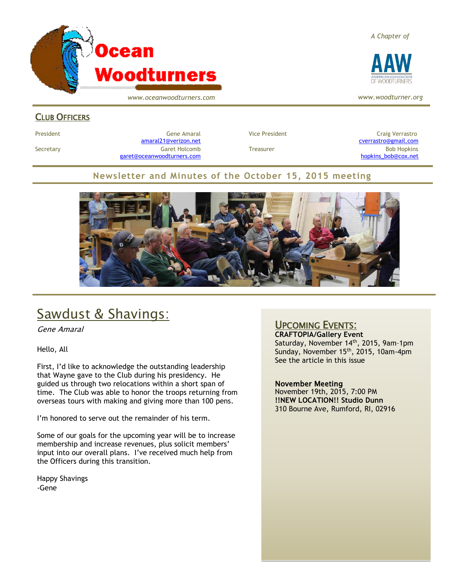

*www.oceanwoodturners.com*

### CLUB OFFICERS

President Gene Amaral Vice President Craig Verrastro [amaral21@verizon.net](mailto:amaral21@verizon.net)<cverrastro@gmail.com> Secretary Garet Holcomb Treasurer Bob Hopkins Bob Hopkins (Bob Hopkins Garet Holcomb [garet@oceanwoodturners.com](mailto:garet@oceanwoodturners.com) [hopkins\\_bob@cox.net](mailto:hopkins_bob@cox.net)

### **Newsletter and Minutes of the October 15, 2015 meeting**



# Sawdust & Shavings:

Gene Amaral

Hello, All

First, I'd like to acknowledge the outstanding leadership that Wayne gave to the Club during his presidency. He guided us through two relocations within a short span of time. The Club was able to honor the troops returning from overseas tours with making and giving more than 100 pens.

I'm honored to serve out the remainder of his term.

Some of our goals for the upcoming year will be to increase membership and increase revenues, plus solicit members' input into our overall plans. I've received much help from the Officers during this transition.

Happy Shavings -Gene

### UPCOMING EVENTS:

**CRAFTOPIA/Gallery Event** Saturday, November 14<sup>th</sup>, 2015, 9am-1pm Sunday, November 15<sup>th</sup>, 2015, 10am-4pm See the article in this issue

#### November Meeting

November 19th, 2015, 7:00 PM **!!NEW LOCATION!! Studio Dunn** 310 Bourne Ave, Rumford, RI, 02916

*A Chapter of*



*www.woodturner.org*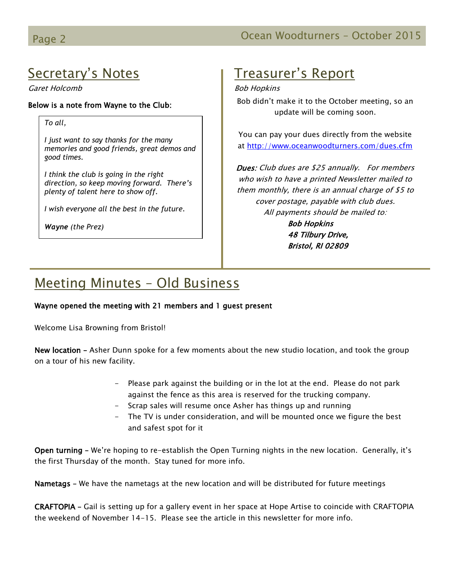# Secretary's Notes

Garet Holcomb

#### Below is a note from Wayne to the Club:

*To all,*

*I just want to say thanks for the many memories and good friends, great demos and good times.* 

*I think the club is going in the right direction, so keep moving forward. There's plenty of talent here to show off.*

*I wish everyone all the best in the future.*

*Wayne (the Prez)*

### Treasurer's Report

#### Bob Hopkins

Bob didn't make it to the October meeting, so an update will be coming soon.

You can pay your dues directly from the website at<http://www.oceanwoodturners.com/dues.cfm>

Dues: Club dues are \$25 annually. For members who wish to have a printed Newsletter mailed to them monthly, there is an annual charge of \$5 to cover postage, payable with club dues. All payments should be mailed to: Bob Hopkins 48 Tilbury Drive, Bristol, RI 02809

# Meeting Minutes – Old Business

#### Wayne opened the meeting with 21 members and 1 guest present

Welcome Lisa Browning from Bristol!

New location – Asher Dunn spoke for a few moments about the new studio location, and took the group on a tour of his new facility.

- Please park against the building or in the lot at the end. Please do not park against the fence as this area is reserved for the trucking company.
- Scrap sales will resume once Asher has things up and running
- The TV is under consideration, and will be mounted once we figure the best and safest spot for it

Open turning – We're hoping to re-establish the Open Turning nights in the new location. Generally, it's the first Thursday of the month. Stay tuned for more info.

Nametags – We have the nametags at the new location and will be distributed for future meetings

CRAFTOPIA – Gail is setting up for a gallery event in her space at Hope Artise to coincide with CRAFTOPIA the weekend of November 14-15. Please see the article in this newsletter for more info.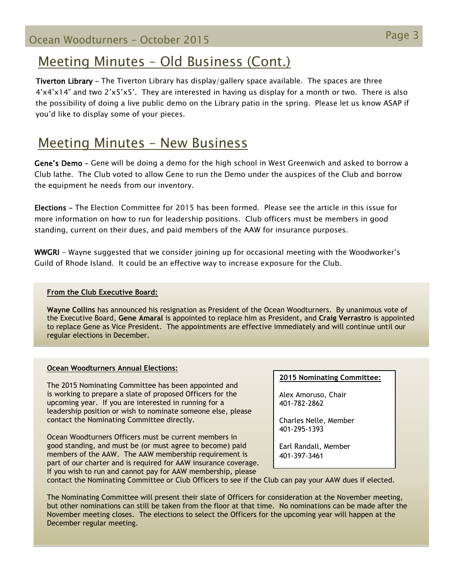# Meeting Minutes – Old Business (Cont.)

Tiverton Library – The Tiverton Library has display/gallery space available. The spaces are three 4'x4'x14" and two 2'x5'x5'. They are interested in having us display for a month or two. There is also the possibility of doing a live public demo on the Library patio in the spring. Please let us know ASAP if you'd like to display some of your pieces.

### Meeting Minutes – New Business

Gene's Demo – Gene will be doing a demo for the high school in West Greenwich and asked to borrow a Club lathe. The Club voted to allow Gene to run the Demo under the auspices of the Club and borrow the equipment he needs from our inventory.

Elections – The Election Committee for 2015 has been formed. Please see the article in this issue for more information on how to run for leadership positions. Club officers must be members in good standing, current on their dues, and paid members of the AAW for insurance purposes.

WWGRI - Wayne suggested that we consider joining up for occasional meeting with the Woodworker's Guild of Rhode Island. It could be an effective way to increase exposure for the Club.

#### **From the Club Executive Board:**

**Wayne Collins** has announced his resignation as President of the Ocean Woodturners. By unanimous vote of the Executive Board, **Gene Amaral** is appointed to replace him as President, and **Craig Verrastro** is appointed to replace Gene as Vice President. The appointments are effective immediately and will continue until our regular elections in December.

#### **Ocean Woodturners Annual Elections:**

The 2015 Nominating Committee has been appointed and is working to prepare a slate of proposed Officers for the upcoming year. If you are interested in running for a leadership position or wish to nominate someone else, please contact the Nominating Committee directly.

Ocean Woodturners Officers must be current members in good standing, and must be (or must agree to become) paid members of the AAW. The AAW membership requirement is part of our charter and is required for AAW insurance coverage. If you wish to run and cannot pay for AAW membership, please

#### **2015 Nominating Committee:**

Alex Amoruso, Chair 401-782-2862

Charles Nelle, Member 401-295-1393

Earl Randall, Member 401-397-3461

contact the Nominating Committee or Club Officers to see if the Club can pay your AAW dues if elected.

The Nominating Committee will present their slate of Officers for consideration at the November meeting, but other nominations can still be taken from the floor at that time. No nominations can be made after the November meeting closes. The elections to select the Officers for the upcoming year will happen at the December regular meeting.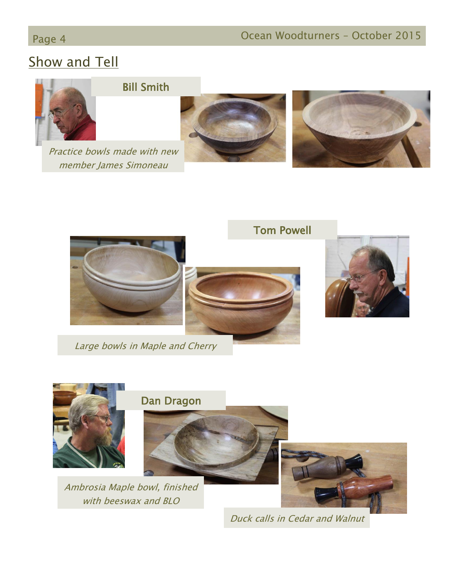# **Show and Tell**



Practice bowls made with new member James Simoneau

Bill Smith









Tom Powell



Large bowls in Maple and Cherry



Duck calls in Cedar and Walnut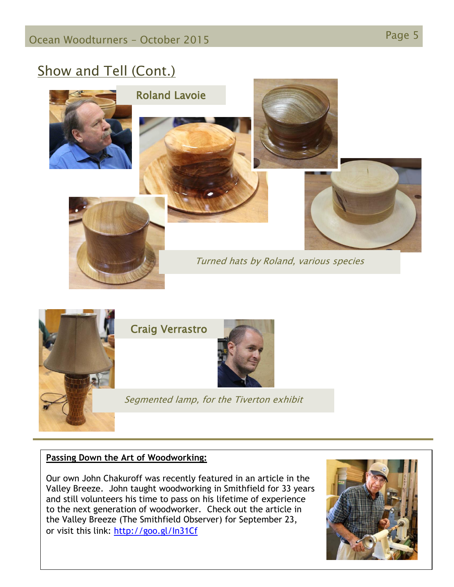# Show and Tell (Cont.)





### **Passing Down the Art of Woodworking:**

Our own John Chakuroff was recently featured in an article in the Valley Breeze. John taught woodworking in Smithfield for 33 years and still volunteers his time to pass on his lifetime of experience to the next generation of woodworker. Check out the article in the Valley Breeze (The Smithfield Observer) for September 23, or visit this link:<http://goo.gl/In31Cf>

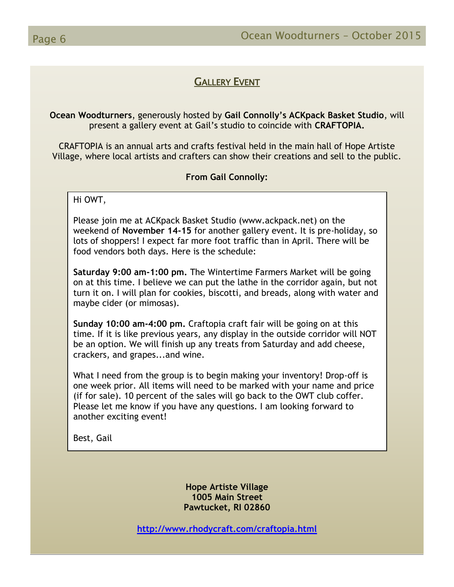### GALLERY EVENT

**Ocean Woodturners**, generously hosted by **Gail Connolly's ACKpack Basket Studio**, will present a gallery event at Gail's studio to coincide with **CRAFTOPIA.** 

CRAFTOPIA is an annual arts and crafts festival held in the main hall of Hope Artiste Village, where local artists and crafters can show their creations and sell to the public.

**From Gail Connolly:**

Hi OWT,

Please join me at ACKpack Basket Studio (www.ackpack.net) on the weekend of **November 14-15** for another gallery event. It is pre-holiday, so lots of shoppers! I expect far more foot traffic than in April. There will be food vendors both days. Here is the schedule:

**Saturday 9:00 am-1:00 pm.** The Wintertime Farmers Market will be going on at this time. I believe we can put the lathe in the corridor again, but not turn it on. I will plan for cookies, biscotti, and breads, along with water and maybe cider (or mimosas).

**Sunday 10:00 am-4:00 pm.** Craftopia craft fair will be going on at this time. If it is like previous years, any display in the outside corridor will NOT be an option. We will finish up any treats from Saturday and add cheese, crackers, and grapes...and wine.

What I need from the group is to begin making your inventory! Drop-off is one week prior. All items will need to be marked with your name and price (if for sale). 10 percent of the sales will go back to the OWT club coffer. Please let me know if you have any questions. I am looking forward to another exciting event!

Best, Gail

**Hope Artiste Village 1005 Main Street Pawtucket, RI 02860**

**<http://www.rhodycraft.com/craftopia.html>**